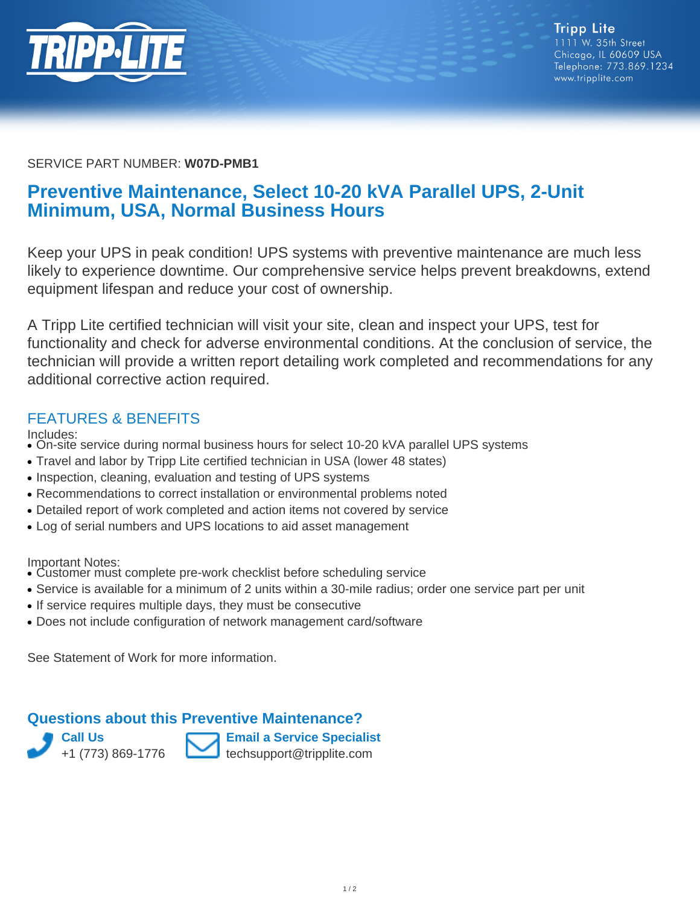

#### SERVICE PART NUMBER: **W07D-PMB1**

# **Preventive Maintenance, Select 10-20 kVA Parallel UPS, 2-Unit Minimum, USA, Normal Business Hours**

Keep your UPS in peak condition! UPS systems with preventive maintenance are much less likely to experience downtime. Our comprehensive service helps prevent breakdowns, extend equipment lifespan and reduce your cost of ownership.

A Tripp Lite certified technician will visit your site, clean and inspect your UPS, test for functionality and check for adverse environmental conditions. At the conclusion of service, the technician will provide a written report detailing work completed and recommendations for any additional corrective action required.

#### FEATURES & BENEFITS

- Includes:
- On-site service during normal business hours for select 10-20 kVA parallel UPS systems
- Travel and labor by Tripp Lite certified technician in USA (lower 48 states)
- Inspection, cleaning, evaluation and testing of UPS systems
- Recommendations to correct installation or environmental problems noted
- Detailed report of work completed and action items not covered by service
- Log of serial numbers and UPS locations to aid asset management

Important Notes:

- Customer must complete pre-work checklist before scheduling service
- Service is available for a minimum of 2 units within a 30-mile radius; order one service part per unit
- If service requires multiple days, they must be consecutive
- Does not include configuration of network management card/software

See Statement of Work for more information.

### **Questions about this Preventive Maintenance?**

**Call Us** +1 (773) 869-1776



**Email a Service Specialist** techsupport@tripplite.com